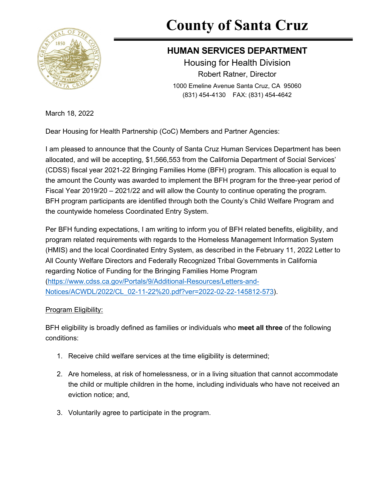

# **County of Santa Cruz**

# **HUMAN SERVICES DEPARTMENT**

Housing for Health Division Robert Ratner, Director 1000 Emeline Avenue Santa Cruz, CA 95060 (831) 454-4130 FAX: (831) 454-4642

March 18, 2022

Dear Housing for Health Partnership (CoC) Members and Partner Agencies:

I am pleased to announce that the County of Santa Cruz Human Services Department has been allocated, and will be accepting, \$1,566,553 from the California Department of Social Services' (CDSS) fiscal year 2021-22 Bringing Families Home (BFH) program. This allocation is equal to the amount the County was awarded to implement the BFH program for the three-year period of Fiscal Year 2019/20 – 2021/22 and will allow the County to continue operating the program. BFH program participants are identified through both the County's Child Welfare Program and the countywide homeless Coordinated Entry System.

Per BFH funding expectations, I am writing to inform you of BFH related benefits, eligibility, and program related requirements with regards to the Homeless Management Information System (HMIS) and the local Coordinated Entry System, as described in the February 11, 2022 Letter to All County Welfare Directors and Federally Recognized Tribal Governments in California regarding Notice of Funding for the Bringing Families Home Program [\(https://www.cdss.ca.gov/Portals/9/Additional-Resources/Letters-and-](https://www.cdss.ca.gov/Portals/9/Additional-Resources/Letters-and-Notices/ACWDL/2022/CL_02-11-22%20.pdf?ver=2022-02-22-145812-573)[Notices/ACWDL/2022/CL\\_02-11-22%20.pdf?ver=2022-02-22-145812-573\)](https://www.cdss.ca.gov/Portals/9/Additional-Resources/Letters-and-Notices/ACWDL/2022/CL_02-11-22%20.pdf?ver=2022-02-22-145812-573).

## Program Eligibility:

BFH eligibility is broadly defined as families or individuals who **meet all three** of the following conditions:

- 1. Receive child welfare services at the time eligibility is determined;
- 2. Are homeless, at risk of homelessness, or in a living situation that cannot accommodate the child or multiple children in the home, including individuals who have not received an eviction notice; and,
- 3. Voluntarily agree to participate in the program.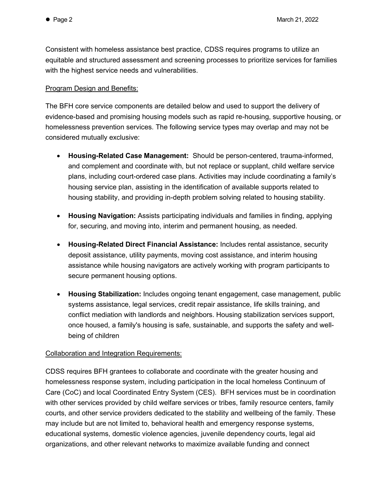Consistent with homeless assistance best practice, CDSS requires programs to utilize an equitable and structured assessment and screening processes to prioritize services for families with the highest service needs and vulnerabilities.

#### Program Design and Benefits:

The BFH core service components are detailed below and used to support the delivery of evidence-based and promising housing models such as rapid re-housing, supportive housing, or homelessness prevention services. The following service types may overlap and may not be considered mutually exclusive:

- **Housing-Related Case Management:** Should be person-centered, trauma-informed, and complement and coordinate with, but not replace or supplant, child welfare service plans, including court-ordered case plans. Activities may include coordinating a family's housing service plan, assisting in the identification of available supports related to housing stability, and providing in-depth problem solving related to housing stability.
- **Housing Navigation:** Assists participating individuals and families in finding, applying for, securing, and moving into, interim and permanent housing, as needed.
- **Housing-Related Direct Financial Assistance:** Includes rental assistance, security deposit assistance, utility payments, moving cost assistance, and interim housing assistance while housing navigators are actively working with program participants to secure permanent housing options.
- **Housing Stabilization:** Includes ongoing tenant engagement, case management, public systems assistance, legal services, credit repair assistance, life skills training, and conflict mediation with landlords and neighbors. Housing stabilization services support, once housed, a family's housing is safe, sustainable, and supports the safety and wellbeing of children

### Collaboration and Integration Requirements:

CDSS requires BFH grantees to collaborate and coordinate with the greater housing and homelessness response system, including participation in the local homeless Continuum of Care (CoC) and local Coordinated Entry System (CES). BFH services must be in coordination with other services provided by child welfare services or tribes, family resource centers, family courts, and other service providers dedicated to the stability and wellbeing of the family. These may include but are not limited to, behavioral health and emergency response systems, educational systems, domestic violence agencies, juvenile dependency courts, legal aid organizations, and other relevant networks to maximize available funding and connect